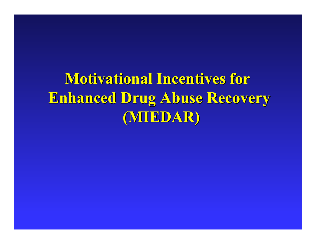**Motivational Incentives for Enhanced Drug Abuse Recovery Enhanced Drug Abuse Recovery (MIEDAR) (MIEDAR)**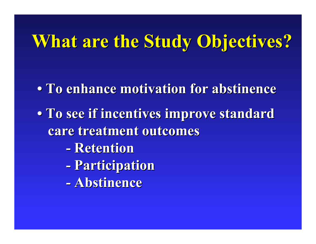# **What are the Study Objectives? What are the Study Objectives?**

- **To enhance motivation for abstinence To enhance motivation for abstinence**
- **To see if incentives improve standard care treatment outcomes care treatment outcomes**
	- **- Retention Retention**
	- **-Participation Participation**
	- **-Abstinence Abstinence**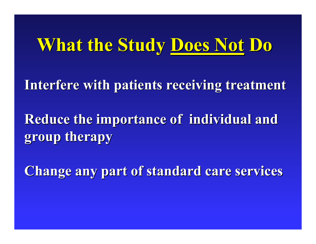# **What the Study What the Study Does Not Does Not Do**

**Interfere with patients receiving treatment Interfere with patients receiving treatment**

**Reduce the importance of individual and group therapy group therapy**

**Change any part of standard care services Change any part of standard care services**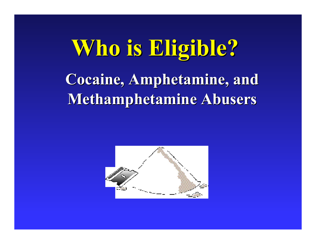# **Who is Eligible? Who is Eligible? Cocaine, Amphetamine, and Cocaine, Amphetamine, and Metha mphetamine phetamine Abusers Abusers**

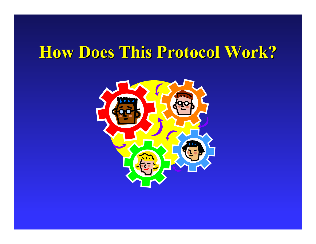## **How Does This Protocol Work? How Does This Protocol Work?**

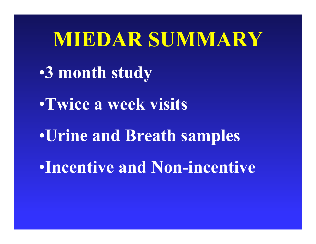# **MIEDAR SUMMARY**

- •**3 month study**
- •**Twice a week visits**
- •**Urine and Breath samples**
- •**Incentive and Non-incentive**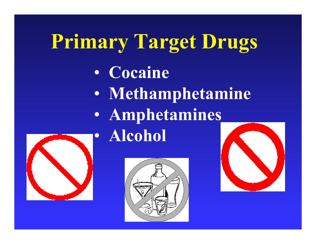# **Primary Target Drugs**

- $\bullet$ **Cocaine**
- $\bullet$  **Methamphetamine**  $\bullet$  **Amphetamines**   $\bullet$ **Alcohol**





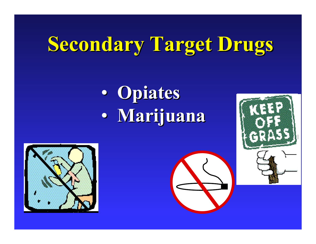# **Secondary Target Drugs Secondary Target Drugs**

#### $\bullet$  **Opiates Opiates**  $\bullet$ **Marijuana Marijuana**



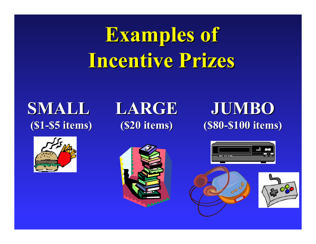# **Examples of Examples of Incentive Prizes Incentive Prizes**

### **SMALL (\$1 -\$5 items)**



### **LARGE (\$20 items) \$5 items) (\$20 items) (\$80**



### **JUM B O -\$100 items) \$100 items)**



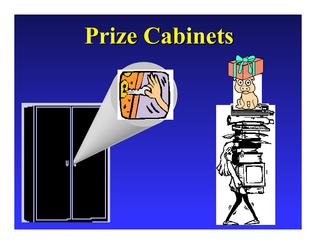# **Prize Cabinets Prize Cabinets**

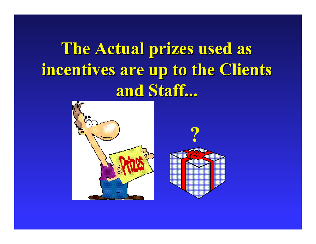**The Actual prizes used as incentives are up to the Clients incentives are up to the Clients and Staff... and Staff...**



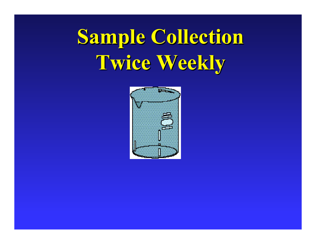# **Sample Collection Sample Collection Twice Weekly Twice Weekly**

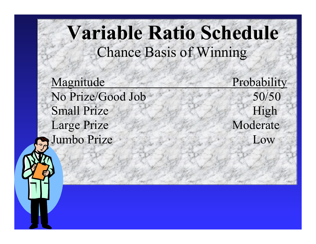## **Variable Ratio Schedule** Chance Basis of Winning

Magnitude Probability No Prize/Good JobSmall PrizeLarge Prize Moderate Jumbo Prize

 50/50 High Low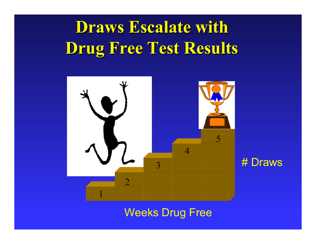## **Draws Escalate with Draws Escalate with Drug Free Test Results Drug Free Test Results**



#### Weeks Drug Free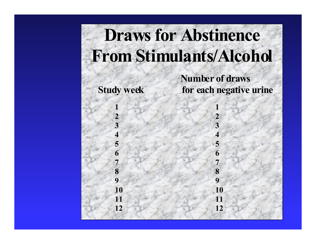# **Draws for Abstinence From Stimulants/Alcohol**

 **1**

 **2**

 **3**

 **4**

 **5**

 **6**

 **7**

 **8**

 **9**

**10**

**11**

**12**

 **Number of draws Study week for each negative urine**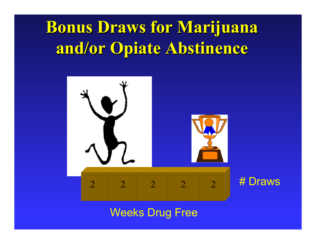## **Bonus Draws for Marijuana Bonus Draws for Marijuana and/or Opiate Abstinence and/or Opiate Abstinence**



#### Weeks Drug Free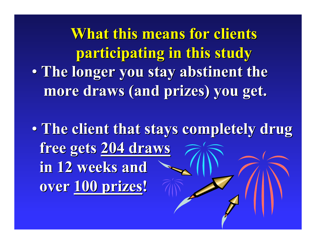**What this means for clients participating in this study participating in this study**  $\bullet$  **The longer you stay abstinent the The longer you stay abstinent the more draws (and prizes) you get. more draws (and prizes) you get.**

 $\bullet$  **The client that stays completely drug The client that stays completely drug free gets free gets 204 draws 204 draws in 12 weeks and in 12 weeks and over 100 prizes 100 prizes !**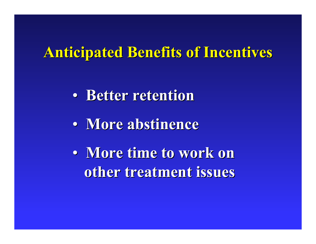### **Anticipated Benefits of Incentives Anticipated Benefits of Incentives**

- $\bullet$ **• Better retention**
- $\bullet$ **More abstinence More abstinence**
- $\bullet$  **More time to work on More time to work on other treatment issues other treatment issues**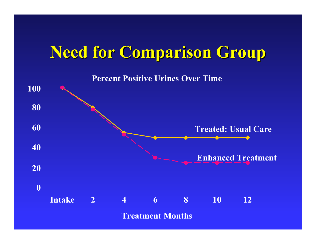## **Need for Comparison G Need for Comparison G roup**

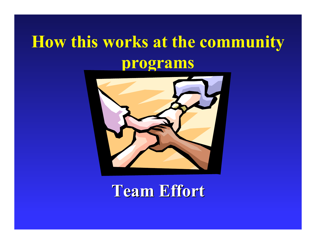## **How this works at the community programs**



**Team Effort Team Effort**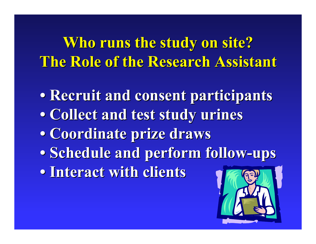**Who runs the study on site? The Role of the Research Assistant The Role of the Research Assistant**

**• Recruit and consent participants • Recruit and consent participants • Collect and test study urines • Collect and test study urines • Coordinate prize draws • Coordinate prize draws • Schedule and perform follow • Schedule and perform follow-ups • Interact with clients • Interact with clients**

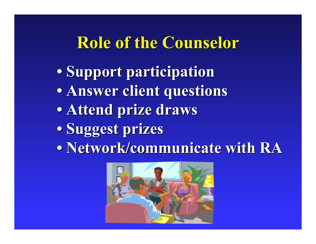## **Role of the Counselor Role of the Counselor**

- **•Support participation Support participation**
- **Answer client questions Answer client questions**
- **Attend prize draws Attend prize draws**
- **Suggest pri Suggest prizes**
- Network/communicate with RA

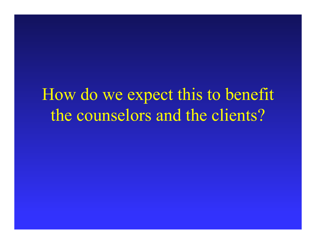How do we expect this to benefit the counselors and the clients?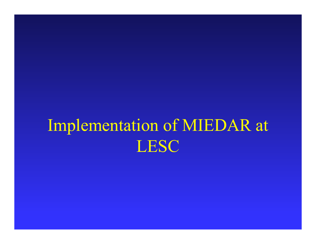# Implementation of MIEDAR at LESC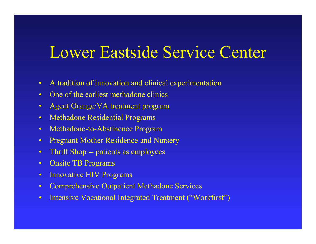### Lower Eastside Service Center

- $\bullet$ A tradition of innovation and clinical experimentation
- $\bullet$ O n e of the earliest m ethadone clinics
- $\bullet$ Agent Orange/VA treatment program
- •Methadone Residential Programs
- $\bullet$ Methadone-to-Abstinence Program
- •Pregnant Mother Residence and Nursery
- $\bullet$ Thrift S h o p - patient s as employees
- $\bullet$ Onsite TB Programs
- $\bullet$ Innovati v e HIV Program s
- $\bullet$ Comprehe n sive Outpatient M etha done Services
- $\bullet$ Intensive Vocational Integrated Treatment ("Workfirst")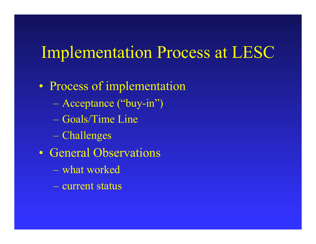### Implementation Process at LESC

- $\bullet$ • Process of implementation
	- Acceptance ("buy-in")
	- –Goals/Time Line
	- Challenge s
- $\bullet$ • General Observations
	- what worked
	- current sta tus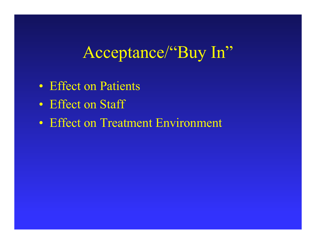Acceptance/"Buy In"

- $\bullet$ • Effect on Patients
- Effect on Staff
- $\bullet$ • Effect on Treatment Environment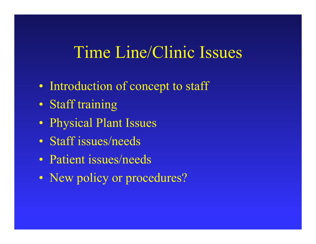## Time Line/Clinic Issues

- $\bullet$ • Introduction of concept to staff
- $\bullet$ Staff training
- $\bullet$ Physical Plant Iss ues
- Staff issues/needs
- Patient issues/needs
- $\bullet$ • New policy or procedures?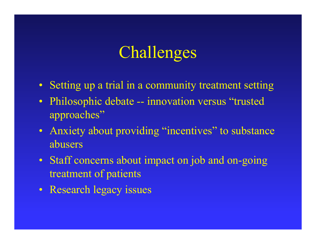### Challenges

- Setting up a trial in a community treatment setting
- $\bullet$  Philosophic debate -- innovation versus "trusted approaches"
- Anxiety about providing "incentives" to substance abusers
- Staff concerns about impact on job and on-going treatment of patients
- Research legacy issues